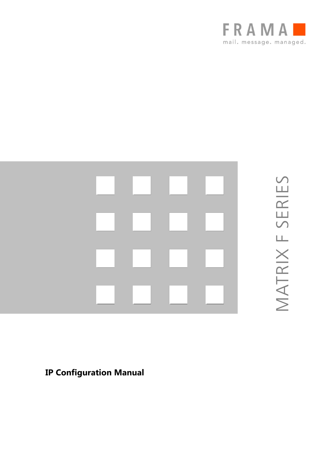

MATRIX F SERIES

**IP Configuration Manual**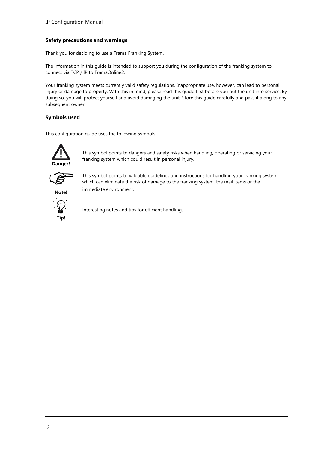### **Safety precautions and warnings**

Thank you for deciding to use a Frama Franking System.

The information in this guide is intended to support you during the configuration of the franking system to connect via TCP / IP to FramaOnline2.

Your franking system meets currently valid safety regulations. Inappropriate use, however, can lead to personal injury or damage to property. With this in mind, please read this guide first before you put the unit into service. By doing so, you will protect yourself and avoid damaging the unit. Store this guide carefully and pass it along to any subsequent owner.

### **Symbols used**

This configuration guide uses the following symbols:



This symbol points to dangers and safety risks when handling, operating or servicing your franking system which could result in personal injury.



This symbol points to valuable guidelines and instructions for handling your franking system which can eliminate the risk of damage to the franking system, the mail items or the immediate environment.



Interesting notes and tips for efficient handling.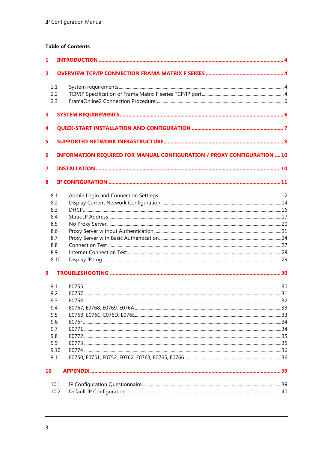### **Table of Contents**

| $\mathbf{1}$   |            |                                                                                |  |  |
|----------------|------------|--------------------------------------------------------------------------------|--|--|
| $\overline{2}$ |            |                                                                                |  |  |
|                | 2.1        |                                                                                |  |  |
|                | 2.2        |                                                                                |  |  |
|                | 2.3        |                                                                                |  |  |
| 3              |            |                                                                                |  |  |
| 4              |            |                                                                                |  |  |
| 5              |            |                                                                                |  |  |
| 6              |            | <b>INFORMATION REQUIRED FOR MANUAL CONFIGURATION / PROXY CONFIGURATION  10</b> |  |  |
| 7              |            |                                                                                |  |  |
| 8              |            |                                                                                |  |  |
|                | 8.1        |                                                                                |  |  |
|                | 8.2        |                                                                                |  |  |
|                | 8.3        |                                                                                |  |  |
|                | 8.4        |                                                                                |  |  |
|                | 8.5        |                                                                                |  |  |
|                | 8.6        |                                                                                |  |  |
|                | 8.7        |                                                                                |  |  |
|                | 8.8        |                                                                                |  |  |
|                | 8.9        |                                                                                |  |  |
|                | 8.10       |                                                                                |  |  |
| 9              |            |                                                                                |  |  |
|                | 9.1        |                                                                                |  |  |
|                | 9.2        |                                                                                |  |  |
|                | 9.3        |                                                                                |  |  |
|                | 9.4        |                                                                                |  |  |
|                | 9.5        |                                                                                |  |  |
|                | 9.6        |                                                                                |  |  |
|                | 9.7        |                                                                                |  |  |
|                | 9.8<br>9.9 |                                                                                |  |  |
|                | 9.10       |                                                                                |  |  |
|                | 9.11       |                                                                                |  |  |
| 10             |            |                                                                                |  |  |
|                | 10.1       |                                                                                |  |  |
|                | 10.2       |                                                                                |  |  |
|                |            |                                                                                |  |  |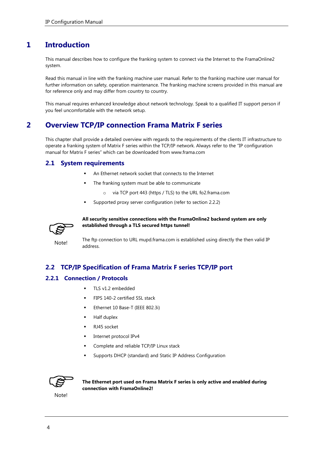# <span id="page-3-0"></span>**1 Introduction**

This manual describes how to configure the franking system to connect via the Internet to the FramaOnline2 system.

Read this manual in line with the franking machine user manual. Refer to the franking machine user manual for further information on safety, operation maintenance. The franking machine screens provided in this manual are for reference only and may differ from country to country.

<span id="page-3-1"></span>This manual requires enhanced knowledge about network technology. Speak to a qualified IT support person if you feel uncomfortable with the network setup.

# **2 Overview TCP/IP connection Frama Matrix F series**

This chapter shall provide a detailed overview with regards to the requirements of the clients IT infrastructure to operate a franking system of Matrix F series within the TCP/IP network. Always refer to the "IP configuration manual for Matrix F series" which can be downloaded from www.frama.com

## <span id="page-3-2"></span>**2.1 System requirements**

- An Ethernet network socket that connects to the Internet
- The franking system must be able to communicate
	- o via TCP port 443 (https / TLS) to the URL fo2.frama.com
- Supported proxy server configuration (refer to section [2.2.2\)](#page-4-0)



Note!

#### **All security sensitive connections with the FramaOnline2 backend system are only established through a TLS secured https tunnel!**

The ftp connection to URL mupd.frama.com is established using directly the then valid IP address.

# <span id="page-3-3"></span>**2.2 TCP/IP Specification of Frama Matrix F series TCP/IP port**

### **2.2.1 Connection / Protocols**

- TLS v1.2 embedded
- FIPS 140-2 certified SSL stack
- Ethernet 10 Base-T (IEEE 802.3i)
- Half duplex
- RJ45 socket
- Internet protocol IPv4
- Complete and reliable TCP/IP Linux stack
- Supports DHCP (standard) and Static IP Address Configuration



#### **The Ethernet port used on Frama Matrix F series is only active and enabled during connection with FramaOnline2!**

Note!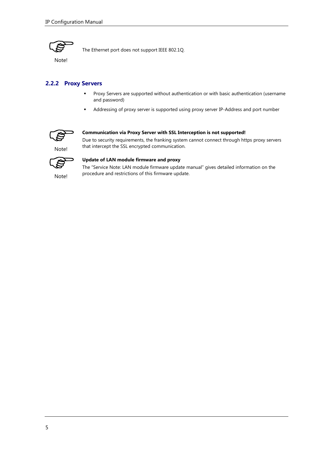

The Ethernet port does not support IEEE 802.1Q.

Note!

### <span id="page-4-0"></span>**2.2.2 Proxy Servers**

- Proxy Servers are supported without authentication or with basic authentication (username and password)
- Addressing of proxy server is supported using proxy server IP-Address and port number



Note!

#### **Communication via Proxy Server with SSL Interception is not supported!**

Due to security requirements, the franking system cannot connect through https proxy servers that intercept the SSL encrypted communication.



Note!

#### **Update of LAN module firmware and proxy**

The "Service Note: LAN module firmware update manual" gives detailed information on the procedure and restrictions of this firmware update.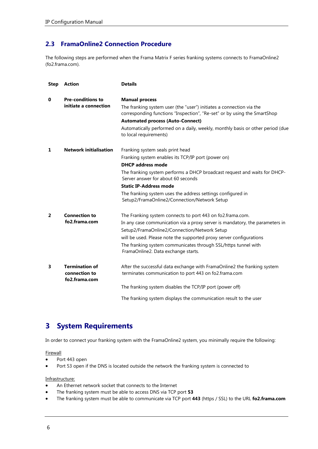## <span id="page-5-0"></span>**2.3 FramaOnline2 Connection Procedure**

The following steps are performed when the Frama Matrix F series franking systems connects to FramaOnline2 (fo2.frama.com).

| Step           | Action                         | <b>Details</b>                                                                                                                                   |
|----------------|--------------------------------|--------------------------------------------------------------------------------------------------------------------------------------------------|
| $\mathbf 0$    | <b>Pre-conditions to</b>       | <b>Manual process</b>                                                                                                                            |
|                | initiate a connection          | The franking system user (the "user") initiates a connection via the<br>corresponding functions "Inspection", "Re-set" or by using the SmartShop |
|                |                                | <b>Automated process (Auto-Connect)</b>                                                                                                          |
|                |                                | Automatically performed on a daily, weekly, monthly basis or other period (due<br>to local requirements)                                         |
| 1              | <b>Network initialisation</b>  | Franking system seals print head                                                                                                                 |
|                |                                | Franking system enables its TCP/IP port (power on)                                                                                               |
|                |                                | <b>DHCP</b> address mode                                                                                                                         |
|                |                                | The franking system performs a DHCP broadcast request and waits for DHCP-<br>Server answer for about 60 seconds                                  |
|                |                                | <b>Static IP-Address mode</b>                                                                                                                    |
|                |                                | The franking system uses the address settings configured in<br>Setup2/FramaOnline2/Connection/Network Setup                                      |
| $\overline{2}$ | <b>Connection to</b>           | The Franking system connects to port 443 on fo2.frama.com.                                                                                       |
|                | fo2.frama.com                  | In any case communication via a proxy server is mandatory, the parameters in                                                                     |
|                |                                | Setup2/FramaOnline2/Connection/Network Setup                                                                                                     |
|                |                                | will be used. Please note the supported proxy server configurations                                                                              |
|                |                                | The franking system communicates through SSL/https tunnel with                                                                                   |
|                |                                | FramaOnline2. Data exchange starts.                                                                                                              |
| 3              | <b>Termination of</b>          | After the successful data exchange with FramaOnline2 the franking system                                                                         |
|                | connection to<br>fo2.frama.com | terminates communication to port 443 on fo2.frama.com                                                                                            |
|                |                                | The franking system disables the TCP/IP port (power off)                                                                                         |
|                |                                | The franking system displays the communication result to the user                                                                                |

# <span id="page-5-1"></span>**3 System Requirements**

In order to connect your franking system with the FramaOnline2 system, you minimally require the following:

**Firewall** 

- Port 443 open
- Port 53 open if the DNS is located outside the network the franking system is connected to

Infrastructure:

- An Ethernet network socket that connects to the Internet
- The franking system must be able to access DNS via TCP port **53**
- The franking system must be able to communicate via TCP port **443** (https / SSL) to the URL **fo2.frama.com**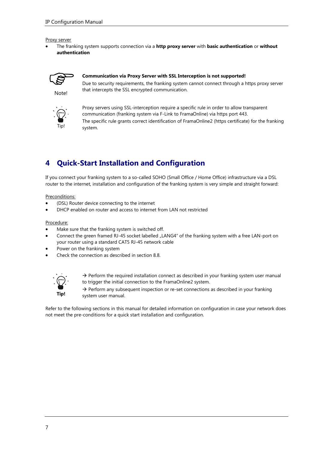Proxy server

 The franking system supports connection via a **http proxy server** with **basic authentication** or **without authentication**



Note!

#### **Communication via Proxy Server with SSL Interception is not supported!**

Due to security requirements, the franking system cannot connect through a https proxy server that intercepts the SSL encrypted communication.



Proxy servers using SSL-interception require a specific rule in order to allow transparent communication (franking system via F-Link to FramaOnline) via https port 443. The specific rule grants correct identification of FramaOnline2 (https certificate) for the franking system.

# <span id="page-6-0"></span>**4 Quick-Start Installation and Configuration**

If you connect your franking system to a so-called SOHO (Small Office / Home Office) infrastructure via a DSL router to the internet, installation and configuration of the franking system is very simple and straight forward:

#### Preconditions:

- (DSL) Router device connecting to the internet
- DHCP enabled on router and access to internet from LAN not restricted

Procedure:

- Make sure that the franking system is switched off.
- Connect the green framed RJ-45 socket labelled "LANG4" of the franking system with a free LAN-port on your router using a standard CAT5 RJ-45 network cable
- Power on the franking system
- Check the connection as described in section [8.8.](#page-26-0)



 $\rightarrow$  Perform the required installation connect as described in your franking system user manual to trigger the initial connection to the FramaOnline2 system.

 $\rightarrow$  Perform any subsequent inspection or re-set connections as described in your franking system user manual.

Refer to the following sections in this manual for detailed information on configuration in case your network does not meet the pre-conditions for a quick start installation and configuration.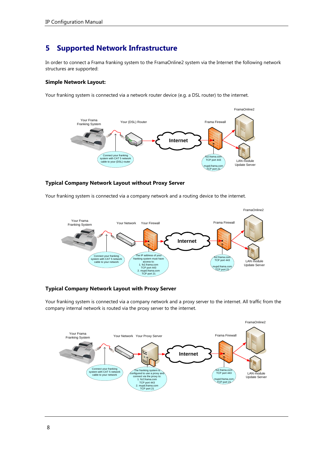# <span id="page-7-0"></span>**5 Supported Network Infrastructure**

In order to connect a Frama franking system to the FramaOnline2 system via the Internet the following network structures are supported:

#### **Simple Network Layout:**

Your franking system is connected via a network router device (e.g. a DSL router) to the internet.



#### **Typical Company Network Layout without Proxy Server**

Your franking system is connected via a company network and a routing device to the internet.



#### **Typical Company Network Layout with Proxy Server**

Your franking system is connected via a company network and a proxy server to the internet. All traffic from the company internal network is routed via the proxy server to the internet.

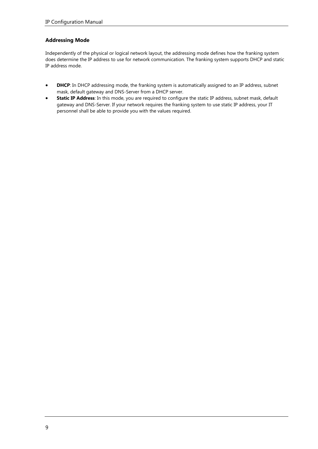### **Addressing Mode**

Independently of the physical or logical network layout, the addressing mode defines how the franking system does determine the IP address to use for network communication. The franking system supports DHCP and static IP address mode.

- **DHCP**: In DHCP addressing mode, the franking system is automatically assigned to an IP address, subnet mask, default gateway and DNS-Server from a DHCP server.
- **Static IP Address**: In this mode, you are required to configure the static IP address, subnet mask, default gateway and DNS-Server. If your network requires the franking system to use static IP address, your IT personnel shall be able to provide you with the values required.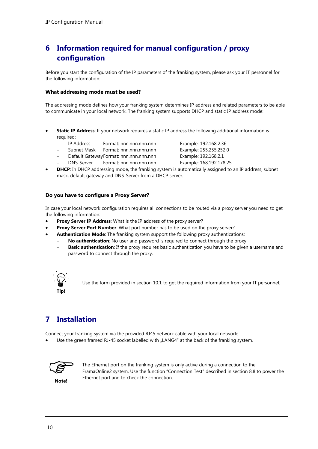# <span id="page-9-0"></span>**6 Information required for manual configuration / proxy configuration**

Before you start the configuration of the IP parameters of the franking system, please ask your IT personnel for the following information:

## **What addressing mode must be used?**

The addressing mode defines how your franking system determines IP address and related parameters to be able to communicate in your local network. The franking system supports DHCP and static IP address mode:

- **Static IP Address**: If your network requires a static IP address the following additional information is required:
	- IP Address Format: nnn.nnn.nnn.nnn Example: 192.168.2.36
	- Subnet Mask Format: nnn.nnn.nnn.nnn Example: 255.255.252.0
	- Default GatewayFormat: nnn.nnn.nnn.nnn Example: 192.168.2.1
	- DNS-Server Format: nnn.nnn.nnn.nnn Example: 168.192.178.25
- **DHCP**: In DHCP addressing mode, the franking system is automatically assigned to an IP address, subnet mask, default gateway and DNS-Server from a DHCP server.

## **Do you have to configure a Proxy Server?**

In case your local network configuration requires all connections to be routed via a proxy server you need to get the following information:

- **Proxy Server IP Address**: What is the IP address of the proxy server?
- **Proxy Server Port Number:** What port number has to be used on the proxy server?
- **Authentication Mode**: The franking system support the following proxy authentications:
	- **No authentication**: No user and password is required to connect through the proxy
	- **Basic authentication**: If the proxy requires basic authentication you have to be given a username and password to connect through the proxy.



Use the form provided in section [10.1](#page-38-1) to get the required information from your IT personnel.

# <span id="page-9-1"></span>**7 Installation**

Connect your franking system via the provided RJ45 network cable with your local network:

Use the green framed RJ-45 socket labelled with "LANG4" at the back of the franking system.



**Note!**

The Ethernet port on the franking system is only active during a connection to the FramaOnline2 system. Use the function "Connection Test" described in section [8.8](#page-26-0) to power the Ethernet port and to check the connection.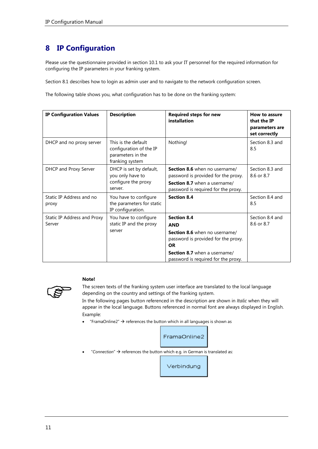# <span id="page-10-0"></span>**8 IP Configuration**

Please use the questionnaire provided in section [10.1](#page-38-1) to ask your IT personnel for the required information for configuring the IP parameters in your franking system.

Section [8.1](#page-11-0) describes how to login as admin user and to navigate to the network configuration screen.

The following table shows you, what configuration has to be done on the franking system:

| <b>IP Configuration Values</b>        | <b>Description</b>                                                                     | <b>Required steps for new</b><br>installation                                                                                                                                                | How to assure<br>that the IP<br>parameters are<br>set correctly |
|---------------------------------------|----------------------------------------------------------------------------------------|----------------------------------------------------------------------------------------------------------------------------------------------------------------------------------------------|-----------------------------------------------------------------|
| DHCP and no proxy server              | This is the default<br>configuration of the IP<br>parameters in the<br>franking system | Nothing!                                                                                                                                                                                     | Section 8.3 and<br>8.5                                          |
| DHCP and Proxy Server                 | DHCP is set by default,<br>you only have to<br>configure the proxy<br>server.          | <b>Section 8.6</b> when no username/<br>password is provided for the proxy.<br>Section 8.7 when a username/<br>password is required for the proxy.                                           | Section 8.3 and<br>8.6 or 8.7                                   |
| Static IP Address and no<br>proxy     | You have to configure<br>the parameters for static<br>IP configuration.                | <b>Section 8.4</b>                                                                                                                                                                           | Section 8.4 and<br>8.5                                          |
| Static IP Address and Proxy<br>Server | You have to configure<br>static IP and the proxy<br>server                             | <b>Section 8.4</b><br><b>AND</b><br>Section 8.6 when no username/<br>password is provided for the proxy.<br><b>OR</b><br>Section 8.7 when a username/<br>password is required for the proxy. | Section 8.4 and<br>8.6 or 8.7                                   |



#### **Note!**

The screen texts of the franking system user interface are translated to the local language depending on the country and settings of the franking system.

In the following pages button referenced in the description are shown in *Italic* when they will appear in the local language. Buttons referenced in normal font are always displayed in English. Example:

• "FramaOnline2"  $\rightarrow$  references the button which in all languages is shown as

## FramaOnline2

"Connection"  $\rightarrow$  references the button which e.g. in German is translated as:

Verbindung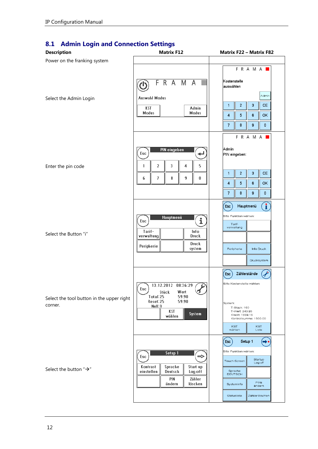## <span id="page-11-0"></span>**8.1 Admin Login and Connection Settings**

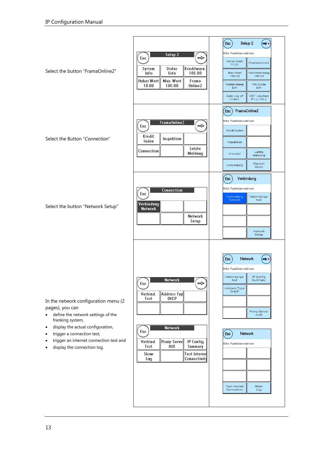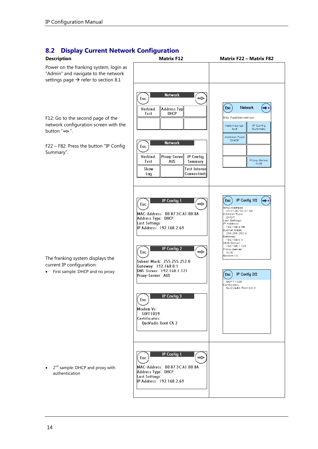# <span id="page-13-0"></span>**8.2 Display Current Network Configuration**

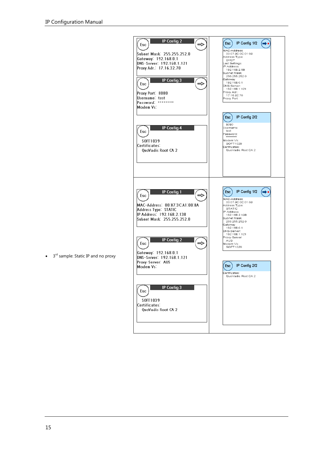

• 3<sup>rd</sup> sample: Static IP and no proxy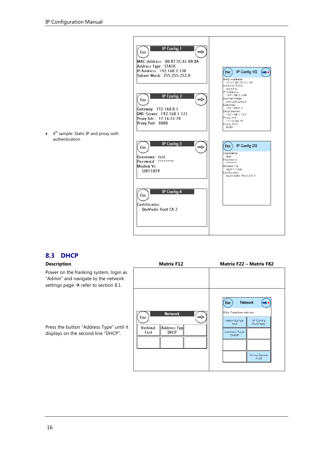

## <span id="page-15-0"></span>**8.3 DHCP**

Power on the franking system, login as "Admin" and navigate to the network settings page  $\rightarrow$  refer to sectio[n 8.1.](#page-11-0)

<span id="page-15-1"></span>Press the button "Address Type" until it displays on the second line "DHCP".

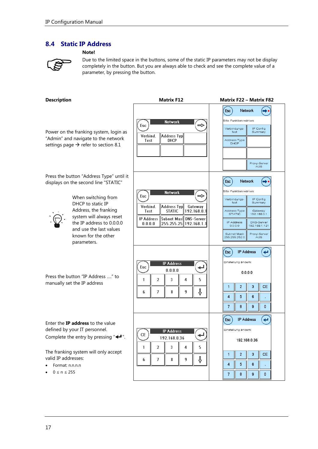## <span id="page-16-0"></span>**8.4 Static IP Address**

#### **Note!**

 $\Gamma$ 



Due to the limited space in the buttons, some of the static IP parameters may not be display completely in the button. But you are always able to check and see the complete value of a parameter, by pressing the button.

### **Description Matrix F12 Matrix F22 – Matrix F82**

| Power on the franking system, login as<br>"Admin" and navigate to the network<br>settings page $\rightarrow$ refer to section 8.1                                                                                                    | Network<br>Esc<br>Verbind.<br>Address Typ<br><b>DHCP</b><br>Test                                                                                                                                 | <b>Network</b><br><b>Esc</b><br>Bitte Funktion wählen:<br>Verbindungs-<br>IP Config<br>Summary<br>test<br>Address Type<br>DHCP<br>Proxy-Server<br>AUS                                                                                                                               |
|--------------------------------------------------------------------------------------------------------------------------------------------------------------------------------------------------------------------------------------|--------------------------------------------------------------------------------------------------------------------------------------------------------------------------------------------------|-------------------------------------------------------------------------------------------------------------------------------------------------------------------------------------------------------------------------------------------------------------------------------------|
| Press the button "Address Type" until it<br>displays on the second line "STATIC"                                                                                                                                                     |                                                                                                                                                                                                  | Network<br><b>Esc</b>                                                                                                                                                                                                                                                               |
| When switching from<br>DHCP to static IP<br>Address, the franking<br>system will always reset<br>the IP address to 0.0.0.0<br>and use the last values<br>known for the other<br>parameters.                                          | <b>Network</b><br>Esc<br>Verbind.<br><b>Address Typ</b><br>Gateway<br><b>STATIC</b><br>Test<br>192.168.0.1<br><b>IP Address</b><br>Subnet Masl<br>DNS-Server<br>255.255.25 192.168.1.<br>0.0.0.0 | Bitte Funktion wählen:<br>Verbindungs-<br>IP Config<br>Summary<br>test<br>Address Type<br>Gateway<br><b>STATIC</b><br>192.168.0.1<br><b>IP Address</b><br>DNS-Server<br>0.0.0.0<br>192.168.1.121<br>Subnet Mask<br>Proxy-Server<br>AUS<br>255.255.252.0<br><b>IP Address</b><br>Esc |
| Press the button "IP Address " to<br>manually set the IP address                                                                                                                                                                     | <b>IP Address</b><br>Esc<br>0.0.0.0<br>2<br>3<br>5<br>1<br>4<br>⇩<br>7<br>8<br>9<br>6                                                                                                            | Einstellung ändern:<br>0.0.0.0<br>$\overline{c}$<br>3<br>1<br><b>CE</b><br>4<br>5<br>6<br>$\mathbf{0}$<br>7<br>8<br>9                                                                                                                                                               |
| Enter the <b>IP address</b> to the value<br>defined by your IT personnel.<br>Complete the entry by pressing " $\leftarrow$ ".<br>The franking system will only accept<br>valid IP addresses:<br>Format: n.n.n.n<br>$0 \le n \le 255$ | <b>IP Address</b><br>CE<br>192.168.0.36<br>T<br>2<br>3<br>5<br>1<br>4<br>⇩<br>7<br>6<br>8<br>9                                                                                                   | <b>IP Address</b><br>Esc<br>Einstellung ändern:<br>192.168.0.36<br>$\overline{2}$<br>3<br><b>CE</b><br>1<br>5<br>6<br>4<br>8<br>9<br>$\mathbf 0$<br>$\overline{7}$                                                                                                                  |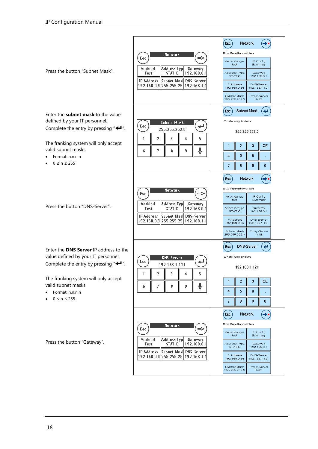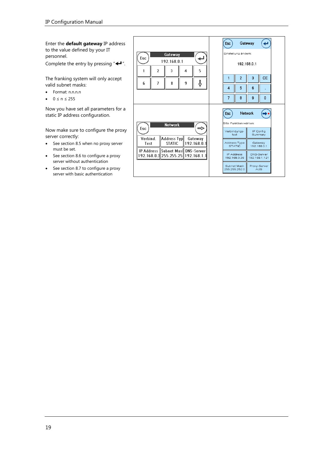Enter the **default gateway** IP address to the value defined by your IT personnel.

Complete the entry by pressing " $\leftarrow$ ".

The franking system will only accept valid subnet masks:

- Format: n.n.n.n
- $0 \le n \le 255$

Now you have set all parameters for a static IP address configuration.

Now make sure to configure the proxy server correctly:

- See sectio[n 8.5](#page-19-0) when no proxy server must be set.
- See sectio[n 8.6](#page-20-0) to configure a proxy server without authentication
- <span id="page-18-0"></span>• See sectio[n 8.7](#page-23-0) to configure a proxy server with basic authentication

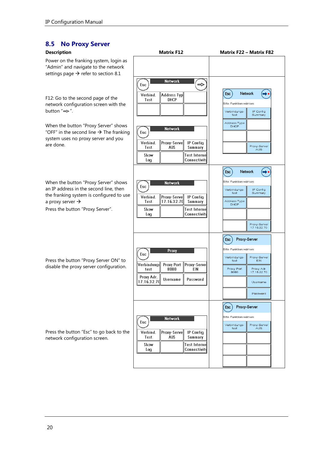#### <span id="page-19-1"></span><span id="page-19-0"></span>**8.5 No Proxy Server Description Matrix F12 Matrix F22 – Matrix F82** Power on the franking system, login as "Admin" and navigate to the network settings page  $\rightarrow$  refer to sectio[n 8.1](#page-11-0) **Network** Esc  $\Rightarrow$ **Address Typ**  $(\mathsf{Esc})$ Network (⇒∙ Verhind F12: Go to the second page of the **DHCP** Test .<br>Bitte Funktion wählen network configuration screen with the button " $\Rightarrow$ ". IP Config<br>Summary Verbindungs<br>test Address Type<br>DHCP When the button "Proxy Server" shows **Network** "OFF" in the second line  $\rightarrow$  The franking Esc system uses no proxy server and you Verbind. Proxy-Serve **IP Config** are done. Proxy-Server<br>AUS Test **AUS** Summary Show **Test Interne** Connectivity Log  $(\mathsf{Esc})$ Network (➡ .<br>Bitte Funktion wählen: When the button "Proxy Server" shows **Network** Esc an IP address in the second line, then Verbindungs<br>test IP Config<br>Summary the franking system is configured to use Verbind. Proxy-Serve **IP Config** a proxy server  $\rightarrow$ Test 17.16.32.70 Summary Address Type<br>DHCP Press the button "Proxy Server". Show **Test Interne** Connectivity Log Proxy-Server<br>17.16.32.70 Proxy-Server  $(\mathsf{Esc})$ .<br>Bitte Funktion wählen: Proxy Esc Verbindungs-<br>test Proxy-Server<br>EIN Press the button "Proxy Server ON" to Verbindungs Proxy Port Proxy-Serve disable the proxy server configuration. test 8080 EIN Proxy Port<br>8080 Proxy Adr.<br>17.16.32.70 Proxy Adr. Username Password 17.16.32.7 Username Password Esc<sup>1</sup> Proxy-Server itte Funktion wählen Network Esc Proxy-Server<br>AUS Verbindungs-Press the button "Esc" to go back to the Verbind. Proxy-Serve **IP Config** ÁUS Test Summary network configuration screen.Show **Test Interne Connectivity** Log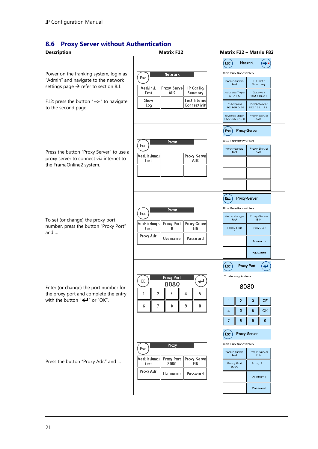## <span id="page-20-0"></span>**8.6 Proxy Server without Authentication**

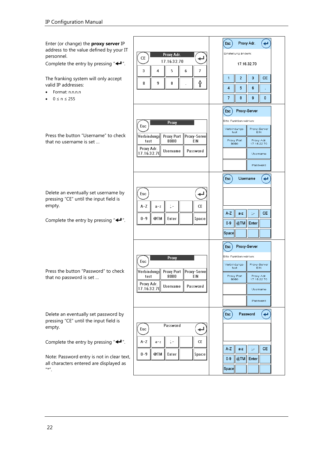Enter (or change) the **proxy server** IP address to the value defined by your IT personnel.

Complete the entry by pressing " $\leftarrow$ ".

The franking system will only accept valid IP addresses:

- Format: n.n.n.n
- 0 ≤ n ≤ 255

| Press the button "Username" to check |  |
|--------------------------------------|--|
| that no username is set              |  |

Delete an eventually set username by pressing "CE" until the input field is empty.

Complete the entry by pressing " $\leftarrow$ ".

Press the button "Password" to check that no password is set …

Delete an eventually set password by pressing "CE" until the input field is empty.

Complete the entry by pressing " $\leftarrow$ ".

Note: Password entry is not in clear text, all characters entered are displayed as  $^{\prime\prime\star\prime\prime}$ .

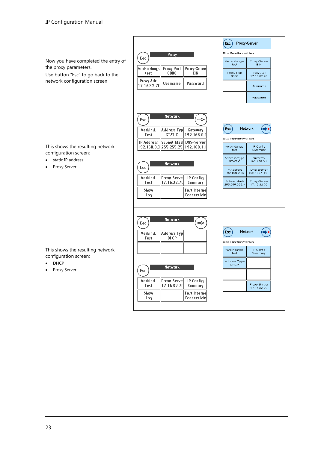<span id="page-22-0"></span>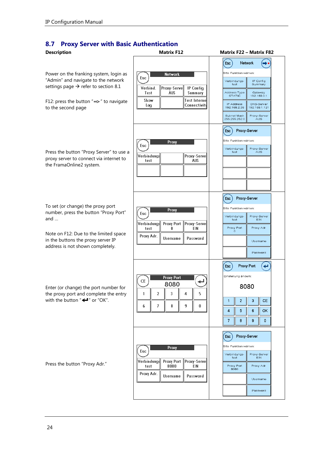## <span id="page-23-0"></span>**8.7 Proxy Server with Basic Authentication**

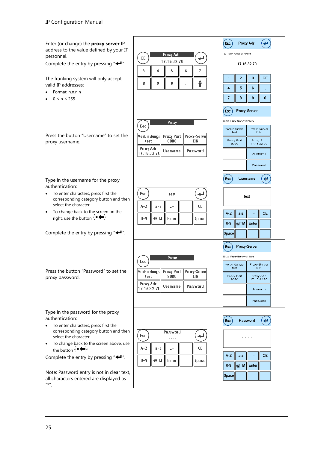Enter (or change) the **proxy server** IP  $\epsilon$ sc $\epsilon$ Proxy Adr. (← address to the value defined by your IT Einstellung ändern: Proxy Adr. personnel.  $\mathsf{CE}$ ↵ 17.16.32.70 Complete the entry by pressing " $\leftarrow$ ". 17.16.32.70 5  $\mathsf 3$  $\overline{\mathbf{4}}$  $\boldsymbol{6}$  $\overline{I}$  $\overline{1}$  $\overline{2}$  $\overline{\mathbf{3}}$  $CE$ The franking system will only accept 9 ⇧ 8  $\pmb{0}$ valid IP addresses:  $\overline{4}$  $\sqrt{5}$  $\bf{6}$  $\mathcal{L}$  Format: n.n.n.n  $\overline{7}$  $\bf 8$  $\overline{9}$  $\mathbf{0}$  0 ≤ n ≤ 255  $\epsilon$ sc Proxy-Server .<br>Bitte Funktion wählen: Proxy Esc Proxy-Server<br>EIN Verbindungs-Press the button "Username" to set the Verbindungs Proxy Port Proxy-Serve 8080 **EIN** test Proxy Port<br>8080 Proxy Adr.<br>17.16.32.70 proxy username. Proxy Adr. Username Password 17.16.32.7 Username Password Username Esc (← Type in the username for the proxy authentication:  $\overline{\phantom{0}}$  To enter characters, press first the Esc test test corresponding category button and then select the character.  $CE$  $A-Z$  $a-z$  $\frac{1}{2}$  ,  $\frac{1}{2}$  To change back to the screen on the  $CE$  $A-Z$  $a-z$  $\frac{1}{2} \sqrt{2}$ right, use the button """ @TM  $0 - 9$ Enter Space  $0-9$  $|@TM$ Enter Complete the entry by pressing " $\leftarrow$ ". Space Proxy-Server  $($  Esc  $)$ .<br>Bitte Funktion wählen: Proxy Esc Verbindungs-<br>test Proxy-Server<br>EIN Press the button "Password" to set the Verbindungs **Proxy Port** Proxy-Serve test 8080 **EIN** Proxy Port<br>8080 proxy password. Proxy Adr.<br>17.16.32.70 Proxy Adr. **Username** Password 17.16.32.70 Username Password Type in the password for the proxy authentication: Esc Password َ⊶ To enter characters, press first the corresponding category button and then Password Esc ↵ select the character.  $\ddot{x}$  $***$ • To change back to the screen above, use  $A-Z$  $\frac{1}{2}$  .  $CE$ the button  $" \blacksquare \leftarrow "$  $a-z$  $A - Z$ **CE**  $a-z$  $\mathcal{L}^{\mathcal{L}}$ Complete the entry by pressing " $\leftarrow$ ".  $0-9$ @TM Enter Space  $0 - 9$  $@TM$ Enter Note: Password entry is not in clear text, Space all characters entered are displayed as  $"*"$ .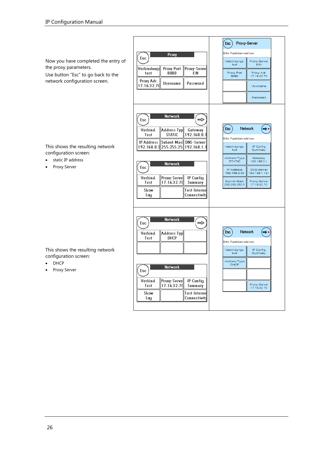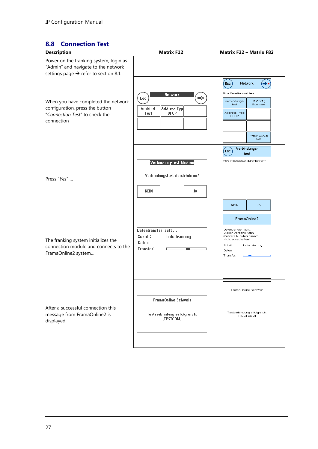# <span id="page-26-0"></span>**8.8 Connection Test**

| <b>Description</b>                                                                                                                | <b>Matrix F12</b>                                                                   | <b>Matrix F22 - Matrix F82</b>                                                                                                                                    |
|-----------------------------------------------------------------------------------------------------------------------------------|-------------------------------------------------------------------------------------|-------------------------------------------------------------------------------------------------------------------------------------------------------------------|
| Power on the franking system, login as<br>"Admin" and navigate to the network<br>settings page $\rightarrow$ refer to section 8.1 |                                                                                     |                                                                                                                                                                   |
| When you have completed the network<br>configuration, press the button<br>"Connection Test" to check the<br>connection            | <b>Network</b><br>➾<br>Esc<br>Verbind.<br><b>Address Typ</b><br><b>DHCP</b><br>Test | Network<br><b>Esc</b><br>⊏<br>Bitte Funktion wählen:<br>Verbindungs-<br>IP Config<br>test<br>Summary<br>Address Type<br>DHCP<br>Proxy-Server<br><b>AUS</b>        |
| Press "Yes"                                                                                                                       | <b>Verbindungstest Modem</b><br>Verbindungstest durchführen?<br><b>NEIN</b><br>JA.  | Verbindungs-<br>Esc<br>test<br>/erbindungstest durchführen?<br><b>NEIN</b><br><b>JA</b>                                                                           |
| The franking system initializes the<br>connection module and connects to the<br>FramaOnline2 system                               | Datentransfer läuft<br>Schritt:<br>Initialisierung<br>Daten:<br>Transfer:           | FramaOnline2<br>Datentransfer läuft<br>Dieser Vorgang kann<br>mehrere Minuten dauern.<br>Nicht ausschalten!<br>Schritt:<br>Initialisierung<br>Daten:<br>Transfer: |
| After a successful connection this<br>message from FramaOnline2 is<br>displayed.                                                  | <b>FramaOnline Schweiz</b><br>Testverbindung erfolgreich.<br>[TESTCOM]              | FramaOnline Schweiz<br>Testverbindung erfolgreich.<br>[TESTCOM]                                                                                                   |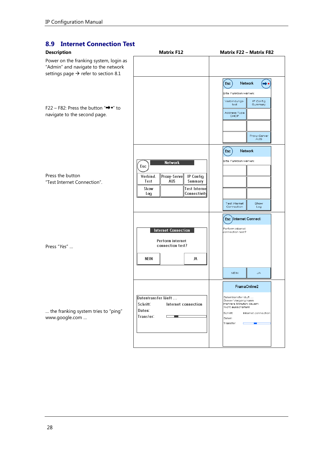# <span id="page-27-0"></span>**8.9 Internet Connection Test**

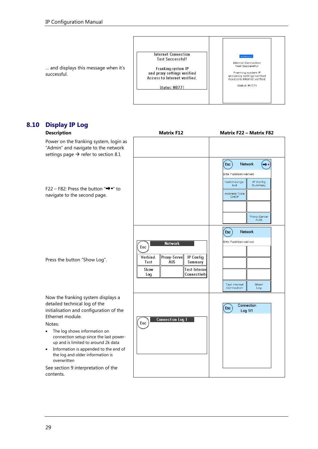

# **8.10 Display IP Log**

successful.

<span id="page-28-1"></span><span id="page-28-0"></span>

| <b>Description</b>                                                                                                                                                                                                                                                                                                                                                                                            | <b>Matrix F12</b>                                                                                                                                    | <b>Matrix F22 - Matrix F82</b>                                                                                                                        |
|---------------------------------------------------------------------------------------------------------------------------------------------------------------------------------------------------------------------------------------------------------------------------------------------------------------------------------------------------------------------------------------------------------------|------------------------------------------------------------------------------------------------------------------------------------------------------|-------------------------------------------------------------------------------------------------------------------------------------------------------|
| Power on the franking system, login as<br>"Admin" and navigate to the network<br>settings page $\rightarrow$ refer to section 8.1                                                                                                                                                                                                                                                                             |                                                                                                                                                      |                                                                                                                                                       |
| F22 - F82: Press the button " <sup>+</sup> " to<br>navigate to the second page.                                                                                                                                                                                                                                                                                                                               |                                                                                                                                                      | Network<br>Esc<br>Bitte Funktion wählen:<br>Verbindungs-<br>IP Config<br>Summary<br>test<br>Address Type<br><b>DHCP</b><br>Proxy-Server<br><b>AUS</b> |
| Press the button "Show Log".                                                                                                                                                                                                                                                                                                                                                                                  | Network<br>Esc<br>Verbind.<br>Proxy-Serve<br><b>IP Config</b><br><b>AUS</b><br>Test<br>Summary<br><b>Test Interne</b><br>Show<br>Connectivity<br>Log | <b>Network</b><br>Esc<br>Bitte Funktion wählen:<br>Test Internet<br>Show<br>Connection<br>Log                                                         |
| Now the franking system displays a<br>detailed technical log of the<br>initialisation and configuration of the<br>Ethernet module.<br>Notes:<br>The log shows information on<br>connection setup since the last power-<br>up and is limited to around 2k data<br>Information is appended to the end of<br>$\bullet$<br>the log and older information is<br>overwritten<br>See section 9 interpretation of the | <b>Connection Log 1</b><br>Esc                                                                                                                       | Connection<br>Esc<br>Log 1/1                                                                                                                          |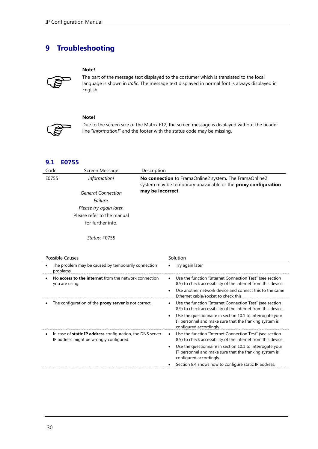# <span id="page-29-0"></span>**9 Troubleshooting**

#### **Note!**



The part of the message text displayed to the costumer which is translated to the local language is shown in *Italic*. The message text displayed in normal font is always displayed in English.



#### **Note!**

Due to the screen size of the Matrix F12, the screen message is displayed without the header line "*Information!*" and the footer with the status code may be missing.

## <span id="page-29-1"></span>**9.1 E0755**

| Screen Message             | Description                                                                                                                     |
|----------------------------|---------------------------------------------------------------------------------------------------------------------------------|
| Information!               | <b>No connection</b> to FramaOnline2 system. The FramaOnline2<br>system may be temporary unavailable or the proxy configuration |
| <b>General Connection</b>  | may be incorrect.                                                                                                               |
| Failure.                   |                                                                                                                                 |
| Please try again later.    |                                                                                                                                 |
| Please refer to the manual |                                                                                                                                 |
| for further info.          |                                                                                                                                 |
|                            |                                                                                                                                 |

*Status*: #0755

<span id="page-29-2"></span>

| Possible Causes                                                                                              | Solution                                                                                                                                                                                                                                                                                                                                               |  |
|--------------------------------------------------------------------------------------------------------------|--------------------------------------------------------------------------------------------------------------------------------------------------------------------------------------------------------------------------------------------------------------------------------------------------------------------------------------------------------|--|
| The problem may be caused by temporarily connection<br>problems.                                             | Try again later                                                                                                                                                                                                                                                                                                                                        |  |
| No <b>access to the internet</b> from the network connection<br>you are using.                               | Use the function "Internet Connection Test" (see section<br>$\bullet$<br>8.9) to check accessibility of the internet from this device.<br>Use another network device and connect this to the same<br>$\bullet$<br>Ethernet cable/socket to check this.                                                                                                 |  |
| The configuration of the <b>proxy server</b> is not correct.                                                 | Use the function "Internet Connection Test" (see section<br>٠<br>8.9) to check accessibility of the internet from this device.<br>Use the questionnaire in section 10.1 to interrogate your<br>$\bullet$<br>IT personnel and make sure that the franking system is<br>configured accordingly.                                                          |  |
| In case of <b>static IP address</b> configuration, the DNS server<br>IP address might be wrongly configured. | Use the function "Internet Connection Test" (see section<br>٠<br>8.9) to check accessibility of the internet from this device.<br>Use the questionnaire in section 10.1 to interrogate your<br>$\bullet$<br>IT personnel and make sure that the franking system is<br>configured accordingly.<br>Section 8.4 shows how to configure static IP address. |  |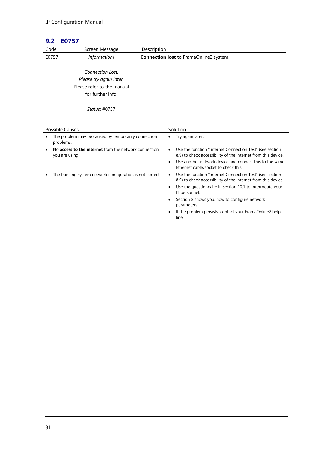# **9.2 E0757**

| 9.Z<br>E0/5/    |                                                           |                                                                                                                                        |
|-----------------|-----------------------------------------------------------|----------------------------------------------------------------------------------------------------------------------------------------|
| Code            | Screen Message                                            | Description                                                                                                                            |
| E0757           | Information!                                              | <b>Connection lost</b> to FramaOnline2 system.                                                                                         |
|                 | Connection Lost.                                          |                                                                                                                                        |
|                 | Please try again later.                                   |                                                                                                                                        |
|                 | Please refer to the manual                                |                                                                                                                                        |
|                 | for further info.                                         |                                                                                                                                        |
|                 | Status: #0757                                             |                                                                                                                                        |
| Possible Causes |                                                           | Solution                                                                                                                               |
| problems.       | The problem may be caused by temporarily connection       | Try again later.                                                                                                                       |
| you are using.  | No access to the internet from the network connection     | Use the function "Internet Connection Test" (see section<br>$\bullet$<br>8.9) to check accessibility of the internet from this device. |
|                 |                                                           | Use another network device and connect this to the same<br>$\bullet$<br>Ethernet cable/socket to check this.                           |
|                 | The franking system network configuration is not correct. | Use the function "Internet Connection Test" (see section<br>$\bullet$<br>8.9) to check accessibility of the internet from this device. |
|                 |                                                           | Use the questionnaire in section 10.1 to interrogate your<br>٠<br>IT personnel.                                                        |
|                 |                                                           | Section 8 shows you, how to configure network<br>$\bullet$<br>parameters.                                                              |
|                 |                                                           | If the problem persists, contact your FramaOnline2 help<br>$\bullet$                                                                   |

<span id="page-30-0"></span>line.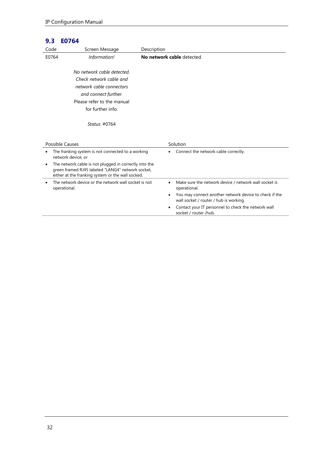# **9.3 E0764**

| Code                                                                                                                                                                                                                                        | Screen Message                                                                                                                                               | Description                                                                                                                                                                                                                                               |
|---------------------------------------------------------------------------------------------------------------------------------------------------------------------------------------------------------------------------------------------|--------------------------------------------------------------------------------------------------------------------------------------------------------------|-----------------------------------------------------------------------------------------------------------------------------------------------------------------------------------------------------------------------------------------------------------|
| E0764                                                                                                                                                                                                                                       | Information!                                                                                                                                                 | No network cable detected.                                                                                                                                                                                                                                |
|                                                                                                                                                                                                                                             | No network cable detected.<br>Check network cable and<br>network cable connectors<br>and connect further.<br>Please refer to the manual<br>for further info. |                                                                                                                                                                                                                                                           |
|                                                                                                                                                                                                                                             | Status: #0764                                                                                                                                                |                                                                                                                                                                                                                                                           |
| Possible Causes                                                                                                                                                                                                                             |                                                                                                                                                              | Solution                                                                                                                                                                                                                                                  |
| The franking system is not connected to a working<br>network device, or<br>The network cable is not plugged in correctly into the<br>green framed RJ45 labeled "LANG4" network socket,<br>either at the franking system or the wall socked. |                                                                                                                                                              | Connect the network cable correctly.                                                                                                                                                                                                                      |
|                                                                                                                                                                                                                                             | The network device or the network wall socket is not<br>operational.                                                                                         | Make sure the network device / network wall socket is<br>operational.<br>You may connect another network device to check if the<br>wall socket / router / hub is working.<br>Contact your IT personnel to check the network wall<br>socket / router /hub. |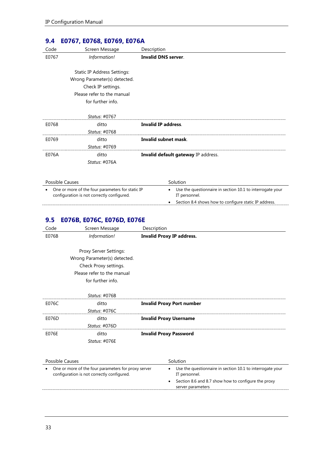<span id="page-32-0"></span>

| 9.4                                | E0767, E0768, E0769, E076A                                                                                                                  |                                     |  |  |
|------------------------------------|---------------------------------------------------------------------------------------------------------------------------------------------|-------------------------------------|--|--|
| Code                               | Screen Message                                                                                                                              | Description                         |  |  |
| E0767                              | Information!                                                                                                                                | <b>Invalid DNS server.</b>          |  |  |
|                                    | <b>Static IP Address Settings:</b><br>Wrong Parameter(s) detected.<br>Check IP settings.<br>Please refer to the manual<br>for further info. |                                     |  |  |
|                                    | Status: #0767                                                                                                                               |                                     |  |  |
| E0768                              | ditto                                                                                                                                       | <b>Invalid IP address.</b>          |  |  |
|                                    | Status: #0768                                                                                                                               |                                     |  |  |
| E0769                              | ditto                                                                                                                                       | Invalid subnet mask.                |  |  |
|                                    | Status: #0769                                                                                                                               |                                     |  |  |
| E076A                              | ditto                                                                                                                                       | Invalid default gateway IP address. |  |  |
|                                    | Status: #076A                                                                                                                               |                                     |  |  |
|                                    |                                                                                                                                             |                                     |  |  |
| <b>Possible Causes</b><br>Solution |                                                                                                                                             |                                     |  |  |
|                                    | One or more of the four parameters for static IP<br>Use the questionnaire in section 10.1 to interrogate your                               |                                     |  |  |

 One or more of the four parameters for static IP configuration is not correctly configured.

| $\frac{1}{2}$<br>IT personnel.                        |
|-------------------------------------------------------|
| Section 8.4 shows how to configure static IP address. |

# <span id="page-32-1"></span>**9.5 E076B, E076C, E076D, E076E**

| Code  | Screen Message               | Description                      |
|-------|------------------------------|----------------------------------|
| E076B | Information!                 | <b>Invalid Proxy IP address.</b> |
|       |                              |                                  |
|       | Proxy Server Settings:       |                                  |
|       | Wrong Parameter(s) detected. |                                  |
|       | Check Proxy settings.        |                                  |
|       | Please refer to the manual   |                                  |
|       | for further info.            |                                  |
|       |                              |                                  |
|       | Status: #076B                |                                  |
| E076C | ditto                        | <b>Invalid Proxy Port number</b> |
|       | Status: #076C                |                                  |
| E076D | ditto                        | <b>Invalid Proxy Username</b>    |
|       | Status: #076D                |                                  |
| E076E | ditto                        | <b>Invalid Proxy Password</b>    |
|       | Status: #076E                |                                  |
|       |                              |                                  |

<span id="page-32-2"></span>

| Possible Causes |                                                                                                   | Solution |                                                                                                                                                        |
|-----------------|---------------------------------------------------------------------------------------------------|----------|--------------------------------------------------------------------------------------------------------------------------------------------------------|
|                 | One or more of the four parameters for proxy server<br>configuration is not correctly configured. | ٠        | Use the questionnaire in section 10.1 to interrogate your<br>IT personnel.<br>Section 8.6 and 8.7 show how to configure the proxy<br>server parameters |
|                 |                                                                                                   |          |                                                                                                                                                        |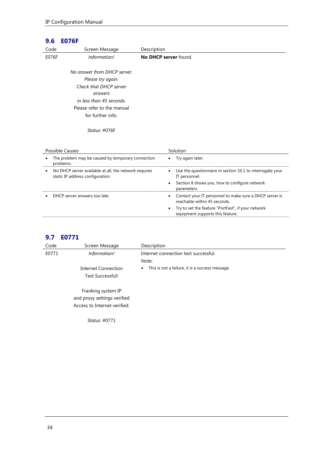# **9.6 E076F**

|              | LV I VI                                                                                   |                                                                                              |
|--------------|-------------------------------------------------------------------------------------------|----------------------------------------------------------------------------------------------|
| Code         | Screen Message                                                                            | Description                                                                                  |
| <b>E076F</b> | Information!                                                                              | No DHCP server found.                                                                        |
|              |                                                                                           |                                                                                              |
|              | No answer from DHCP server.                                                               |                                                                                              |
|              | Please try again.                                                                         |                                                                                              |
|              | Check that DHCP server                                                                    |                                                                                              |
|              | answers                                                                                   |                                                                                              |
|              | in less than 45 seconds.                                                                  |                                                                                              |
|              | Please refer to the manual                                                                |                                                                                              |
|              | for further info.                                                                         |                                                                                              |
|              |                                                                                           |                                                                                              |
|              | <i>Status:</i> #076F                                                                      |                                                                                              |
|              |                                                                                           |                                                                                              |
|              |                                                                                           |                                                                                              |
|              | Possible Causes                                                                           | Solution                                                                                     |
|              | The problem may be caused by temporary connection<br>problems.                            | Try again later.<br>٠                                                                        |
|              | No DHCP server available at all, the network requires<br>static IP address configuration. | Use the questionnaire in section 10.1 to interrogate your<br>٠<br>IT personnel.              |
|              |                                                                                           | Section 8 shows you, how to configure network<br>٠<br>parameters.                            |
|              | DHCP server answers too late.                                                             | Contact your IT personnel to make sure a DHCP server is<br>٠<br>reachable within 45 seconds. |
|              |                                                                                           | Try to set the feature "PortFast", if your network<br>equipment supports this feature.       |

# <span id="page-33-0"></span>**9.7 E0771**

| Code  | Screen Message               | Description                                                  |  |
|-------|------------------------------|--------------------------------------------------------------|--|
| E0771 | Information!                 | Internet connection test successful.                         |  |
|       |                              | Note:                                                        |  |
|       | Internet Connection          | This is not a failure, it is a success message.<br>$\bullet$ |  |
|       | Test Successful!             |                                                              |  |
|       |                              |                                                              |  |
|       | Franking system IP           |                                                              |  |
|       | and proxy settings verified  |                                                              |  |
|       | Access to Internet verified. |                                                              |  |
|       |                              |                                                              |  |

<span id="page-33-1"></span>*Status*: #0771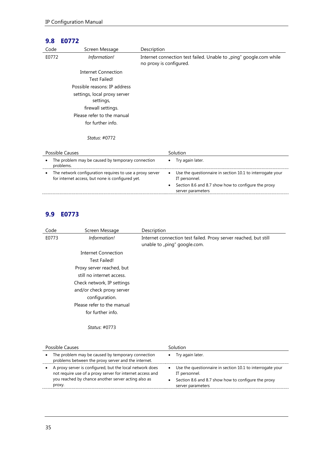# **9.8 E0772**

| Code  | Screen Message                                    | Description                                                                                   |
|-------|---------------------------------------------------|-----------------------------------------------------------------------------------------------|
| E0772 | Information!                                      | Internet connection test failed. Unable to "ping" google.com while<br>no proxy is configured. |
|       | <b>Internet Connection</b>                        |                                                                                               |
|       | Test Failed!                                      |                                                                                               |
|       | Possible reasons: IP address                      |                                                                                               |
|       | settings, local proxy server<br>settings,         |                                                                                               |
|       | firewall settings.                                |                                                                                               |
|       | Please refer to the manual                        |                                                                                               |
|       | for further info.                                 |                                                                                               |
|       | Status: #0772                                     |                                                                                               |
|       | <b>Possible Causes</b>                            | Solution                                                                                      |
|       | The problem may be caused by temporary connection | Try again later.<br>٠                                                                         |

| problems.                                                                                                    |   |                                                                            |
|--------------------------------------------------------------------------------------------------------------|---|----------------------------------------------------------------------------|
| The network configuration requires to use a proxy server<br>for internet access, but none is configured yet. | ٠ | Use the questionnaire in section 10.1 to interrogate your<br>IT personnel. |
|                                                                                                              |   | Section 8.6 and 8.7 show how to configure the proxy                        |
|                                                                                                              |   | server parameters                                                          |

# <span id="page-34-0"></span>**9.9 E0773**

| Code  | Screen Message             | Description                                                                                      |
|-------|----------------------------|--------------------------------------------------------------------------------------------------|
| E0773 | Information!               | Internet connection test failed. Proxy server reached, but still<br>unable to "ping" google.com. |
|       | Internet Connection        |                                                                                                  |
|       | Test Failed!               |                                                                                                  |
|       | Proxy server reached, but  |                                                                                                  |
|       | still no internet access.  |                                                                                                  |
|       | Check network, IP settings |                                                                                                  |
|       | and/or check proxy server  |                                                                                                  |
|       | configuration.             |                                                                                                  |
|       | Please refer to the manual |                                                                                                  |
|       | for further info.          |                                                                                                  |
|       | <i>Status: #0773</i>       |                                                                                                  |

<span id="page-34-1"></span>

| Possible Causes                                           | Solution                                                  |  |
|-----------------------------------------------------------|-----------------------------------------------------------|--|
| The problem may be caused by temporary connection         | Try again later.                                          |  |
| problems between the proxy server and the internet.       | $\bullet$                                                 |  |
| A proxy server is configured, but the local network does  | Use the questionnaire in section 10.1 to interrogate your |  |
| ٠                                                         | $\bullet$                                                 |  |
| not require use of a proxy server for internet access and | IT personnel.                                             |  |
| you reached by chance another server acting also as       | Section 8.6 and 8.7 show how to configure the proxy       |  |
| proxy.                                                    | server parameters                                         |  |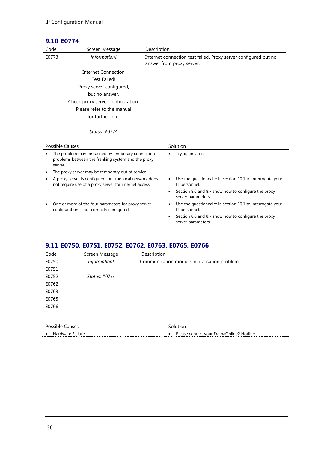# **9.10 E0774**

| Screen Message                                                                                                     | Description                                                                                  |  |
|--------------------------------------------------------------------------------------------------------------------|----------------------------------------------------------------------------------------------|--|
| Information!                                                                                                       | Internet connection test failed. Proxy server configured but no<br>answer from proxy server. |  |
| Internet Connection                                                                                                |                                                                                              |  |
| <b>Test Failed!</b>                                                                                                |                                                                                              |  |
| Proxy server configured,                                                                                           |                                                                                              |  |
| but no answer.                                                                                                     |                                                                                              |  |
| Check proxy server configuration.                                                                                  |                                                                                              |  |
| Please refer to the manual                                                                                         |                                                                                              |  |
| for further info.                                                                                                  |                                                                                              |  |
| Status: #0774                                                                                                      |                                                                                              |  |
| Possible Causes                                                                                                    | Solution                                                                                     |  |
| The problem may be caused by temporary connection<br>problems between the franking system and the proxy            | Try again later.                                                                             |  |
| The proxy server may be temporary out of service.                                                                  |                                                                                              |  |
| A proxy server is configured, but the local network does<br>not require use of a proxy server for internet access. | Use the questionnaire in section 10.1 to interrogate your<br>٠<br>IT personnel.              |  |
|                                                                                                                    | Section 8.6 and 8.7 show how to configure the proxy<br>٠<br>server parameters                |  |
| One or more of the four parameters for proxy server<br>configuration is not correctly configured.                  | Use the questionnaire in section 10.1 to interrogate your<br>٠<br>IT personnel.              |  |
|                                                                                                                    | Section 8.6 and 8.7 show how to configure the proxy<br>٠<br>server parameters                |  |
|                                                                                                                    |                                                                                              |  |

# <span id="page-35-0"></span>**9.11 E0750, E0751, E0752, E0762, E0763, E0765, E0766**

| Code            | Screen Message | Description                                   |  |
|-----------------|----------------|-----------------------------------------------|--|
| E0750           | Information!   | Communication module inititalisation problem. |  |
| E0751           |                |                                               |  |
| E0752           | Status: #07xx  |                                               |  |
| E0762           |                |                                               |  |
| E0763           |                |                                               |  |
| E0765           |                |                                               |  |
| E0766           |                |                                               |  |
|                 |                |                                               |  |
| Possible Causes |                | Solution                                      |  |

|  |                | --------                                       |  |  |
|--|----------------|------------------------------------------------|--|--|
|  | <b>Failure</b> | r vour FramaOnline2 '<br>` Hotline.<br>.ontact |  |  |
|  |                |                                                |  |  |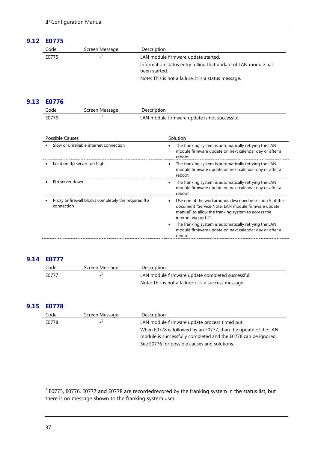## **9.12 E0775**

| Code  | Screen Message | Description                                                    |
|-------|----------------|----------------------------------------------------------------|
| E0775 |                | LAN module firmware update started.                            |
|       |                | Information status entry telling that update of LAN module has |
|       |                | been started.                                                  |
|       |                | Note: This is not a failure, it is a status message.           |

# **9.13 E0776**

| Code  | Screen Message | Description                                   |
|-------|----------------|-----------------------------------------------|
| E0776 | $\sim$         | LAN module firmware update is not successful. |

| <b>Possible Causes</b>                                             | Solution                                                                                                                                                                                      |  |
|--------------------------------------------------------------------|-----------------------------------------------------------------------------------------------------------------------------------------------------------------------------------------------|--|
| Slow or unreliable internet connection                             | The franking system is automatically retrying the LAN<br>module firmware update on next calendar day or after a<br>reboot.                                                                    |  |
| Load on ftp server too high                                        | The franking system is automatically retrying the LAN<br>٠<br>module firmware update on next calendar day or after a<br>reboot.                                                               |  |
| Ftp server down                                                    | The franking system is automatically retrying the LAN<br>$\bullet$<br>module firmware update on next calendar day or after a<br>reboot.                                                       |  |
| Proxy or firewall blocks completely the required ftp<br>connection | Use one of the workarounds described in section 5 of the<br>document "Service Note: LAN module firmware update<br>manual" to allow the franking system to access the<br>internet via port 21. |  |
|                                                                    | The franking system is automatically retrying the LAN<br>$\bullet$<br>module firmware update on next calendar day or after a<br>reboot.                                                       |  |

## **9.14 E0777**

| Code  | Screen Message | Description                                           |
|-------|----------------|-------------------------------------------------------|
| F0777 |                | LAN module firmware update completed successful.      |
|       |                | Note: This is not a failure, it is a success message. |

### **9.15 E0778**

| Code  | Screen Message | Description                                                                                                                      |
|-------|----------------|----------------------------------------------------------------------------------------------------------------------------------|
| E0778 |                | LAN module firmware update process timed out.                                                                                    |
|       |                | When E0778 is followed by an E0777, than the update of the LAN<br>module is successfully completed and the E0778 can be ignored. |
|       |                | See E0776 for possible causes and solutions.                                                                                     |

-

 $1$  E0775, E0776, E0777 and E0778 are recordedrecored by the franking system in the status list, but there is no message shown to the franking system user.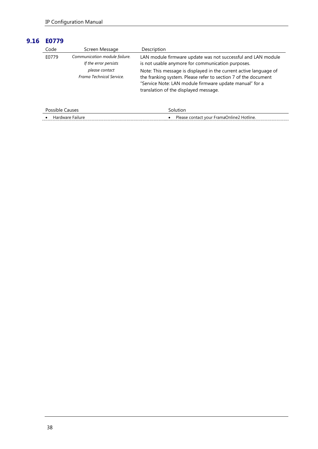# **9.16 E0779**

| Code                   | Screen Message                                                           | Description                                                                                                                                                                            |
|------------------------|--------------------------------------------------------------------------|----------------------------------------------------------------------------------------------------------------------------------------------------------------------------------------|
| E0779                  | Communication module failure.<br>If the error persists<br>please contact | LAN module firmware update was not successful and LAN module<br>is not usable anymore for communication purposes.<br>Note: This message is displayed in the current active language of |
|                        | Frama Technical Service.                                                 | the franking system. Please refer to section 7 of the document<br>"Service Note: LAN module firmware update manual" for a<br>translation of the displayed message.                     |
| <b>Possible Causes</b> |                                                                          | Solution                                                                                                                                                                               |
| Hardware Failure       |                                                                          | Please contact your FramaOnline2 Hotline.                                                                                                                                              |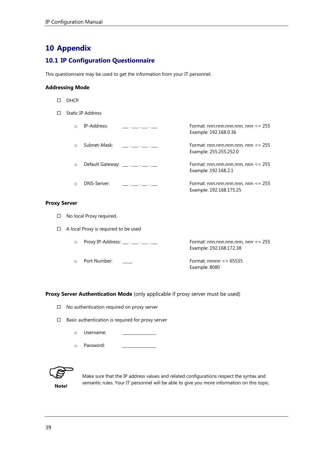# <span id="page-38-0"></span>**10 Appendix**

## <span id="page-38-1"></span>**10.1 IP Configuration Questionnaire**

This questionnaire may be used to get the information from your IT personnel.

#### **Addressing Mode**

- DHCP
- □ Static IP Address

| IP-Address:  | $\frac{1}{2}$ , $\frac{1}{2}$ , $\frac{1}{2}$ , $\frac{1}{2}$ , $\frac{1}{2}$                                                                                                                                                        | Format: nnn.nnn.nnn.nnn, nnn $\leq$ = 255<br>Example: 192.168.0.36   |
|--------------|--------------------------------------------------------------------------------------------------------------------------------------------------------------------------------------------------------------------------------------|----------------------------------------------------------------------|
| Subnet-Mask: | $\frac{1}{2}$ . $\frac{1}{2}$ . $\frac{1}{2}$ . $\frac{1}{2}$                                                                                                                                                                        | Format: nnn.nnn.nnn.nnn, nnn $\leq$ = 255<br>Example: 255.255.252.0  |
|              | Default Gateway: $\frac{1}{1}$ . $\frac{1}{1}$ . $\frac{1}{1}$ . $\frac{1}{1}$ .                                                                                                                                                     | Format: nnn.nnn.nnn.nnn, nnn $\leq$ = 255<br>Example: 192.168.2.1    |
| DNS-Server:  | <u> 1989 - Jan Barbara Barat III a San Barbara Barbara a shekara 1989 - Shekara Indonesia a shekara 1981 - Shekara Indonesia a shekara 1981 - Shekara Indonesia a shekara 1981 - Shekara 1981 - Shekara 1981 - Shekara 1981 - Sh</u> | Format: nnn.nnn.nnn.nnn, nnn $\leq$ = 255<br>Example: 192.168.175.25 |

#### **Proxy Server**

- □ No local Proxy required.
- □ A local Proxy is required to be used
	- o Proxy IP-Address: \_\_\_ . \_\_\_ . \_\_\_ . \_\_\_ Format: nnn.nnn.nnn.nnn.nnn, nnn <= 255 Example: 192.168.172.38 o Port Number: \_\_\_\_\_ Format: nnnnn <= 65535 Example: 8080

**Proxy Server Authentication Mode** (only applicable if proxy server must be used)

- $\Box$  No authentication required on proxy server
- $\square$  Basic authentication is required for proxy server
	- o Username:
	- o Password:



**Note!**

Make sure that the IP address values and related configurations respect the syntax and semantic rules. Your IT personnel will be able to give you more information on this topic.